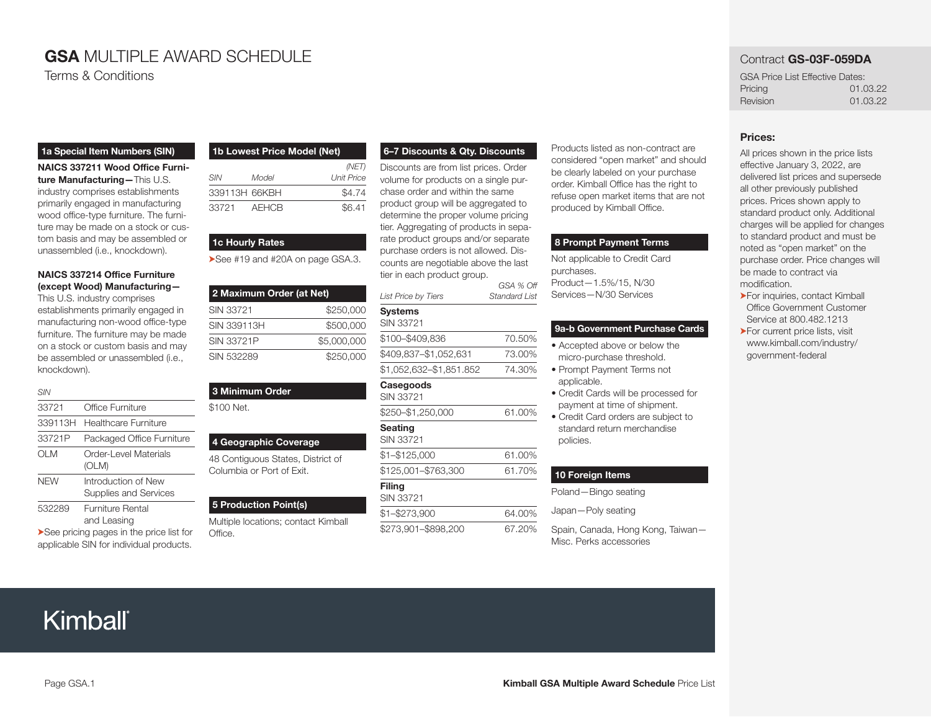Terms & Conditions

### **1a Special Item Numbers (SIN)**

### **NAICS 337211 Wood Office Furniture Manufacturing—**This U.S. industry comprises establishments

primarily engaged in manufacturing wood office-type furniture. The furniture may be made on a stock or custom basis and may be assembled or unassembled (i.e., knockdown).

### **NAICS 337214 Office Furniture (except Wood) Manufacturing—**

This U.S. industry comprises establishments primarily engaged in manufacturing non-wood office-type furniture. The furniture may be made on a stock or custom basis and may be assembled or unassembled (i.e., knockdown).

### *SIN*

| 33721                                   | Office Furniture                             |  |
|-----------------------------------------|----------------------------------------------|--|
| 339113H                                 | <b>Healthcare Furniture</b>                  |  |
| 33721P                                  | Packaged Office Furniture                    |  |
| OLM                                     | Order-Level Materials<br>(OLM)               |  |
| <b>NEW</b>                              | Introduction of New<br>Supplies and Services |  |
| 532289                                  | <b>Furniture Rental</b><br>and Leasing       |  |
| See pricing pages in the price list for |                                              |  |

applicable SIN for individual products.

### **1b Lowest Price Model (Net)**   *(NET) SIN Model Unit Price*  339113H 66KBH \$4.74

33721 AEHCB \$6.41

### **1c Hourly Rates**

➤See #19 and #20A on page GSA.3.

| 2 Maximum Order (at Net) |             |  |
|--------------------------|-------------|--|
| SIN 33721                | \$250,000   |  |
| SIN 339113H              | \$500,000   |  |
| SIN 33721P               | \$5,000,000 |  |
| SIN 532289               | \$250,000   |  |
|                          |             |  |

### \$100 Net.

**3 Minimum Order** 

### **4 Geographic Coverage**

48 Contiguous States, District of Columbia or Port of Exit.

### **5 Production Point(s)**

Multiple locations; contact Kimball Office.

### **6–7 Discounts & Qty. Discounts**

Discounts are from list prices. Order volume for products on a single purchase order and within the same product group will be aggregated to determine the proper volume pricing tier. Aggregating of products in separate product groups and/or separate purchase orders is not allowed. Discounts are negotiable above the last tier in each product group.  *GSA % Off* 

| <b>List Price by Tiers</b> | ,,,,,,,,,,,,,,<br>Standard List |  |
|----------------------------|---------------------------------|--|
| <b>Systems</b>             |                                 |  |
| <b>SIN 33721</b>           |                                 |  |
| \$100-\$409.836            | 70.50%                          |  |
| \$409,837-\$1,052,631      | 73.00%                          |  |
| \$1.052.632-\$1.851.852    | 74.30%                          |  |

### **Casegoods**

| <b>Seating</b>    |        |  |
|-------------------|--------|--|
| \$250-\$1,250,000 | 61.00% |  |
| SIN 33721         |        |  |

### SIN 33721

| $$1 - $125,000$     | 61.00% |  |
|---------------------|--------|--|
| \$125,001-\$763,300 | 61.70% |  |
| Filing<br>SIN 33721 |        |  |
| $$1 - $273.900$     | 64.00% |  |
| \$273.901-\$898.200 | 67.20% |  |

Products listed as non-contract are considered "open market" and should be clearly labeled on your purchase order. Kimball Office has the right to refuse open market items that are not produced by Kimball Office.

### **8 Prompt Payment Terms**

Not applicable to Credit Card purchases. Product—1.5%/15, N/30 Services—N/30 Services

### **9a-b Government Purchase Cards**

- Accepted above or below the micro-purchase threshold.
- Prompt Payment Terms not applicable.
- Credit Cards will be processed for payment at time of shipment.
- Credit Card orders are subject to standard return merchandise policies.

### **10 Foreign Items**

Poland—Bingo seating

Japan—Poly seating

Spain, Canada, Hong Kong, Taiwan— Misc. Perks accessories

### Contract **GS-03F-059DA**

GSA Price List Effective Dates: Pricing 01.03.22 Revision 01.03.22

### **Prices:**

All prices shown in the price lists effective January 3, 2022, are delivered list prices and supersede all other previously published prices. Prices shown apply to standard product only. Additional charges will be applied for changes to standard product and must be noted as "open market" on the purchase order. Price changes will be made to contract via modification.

- ➤For inquiries, contact Kimball Office Government Customer Service at 800.482.1213
- ➤For current price lists, visit www.kimball.com/industry/ government-federal

Kimball®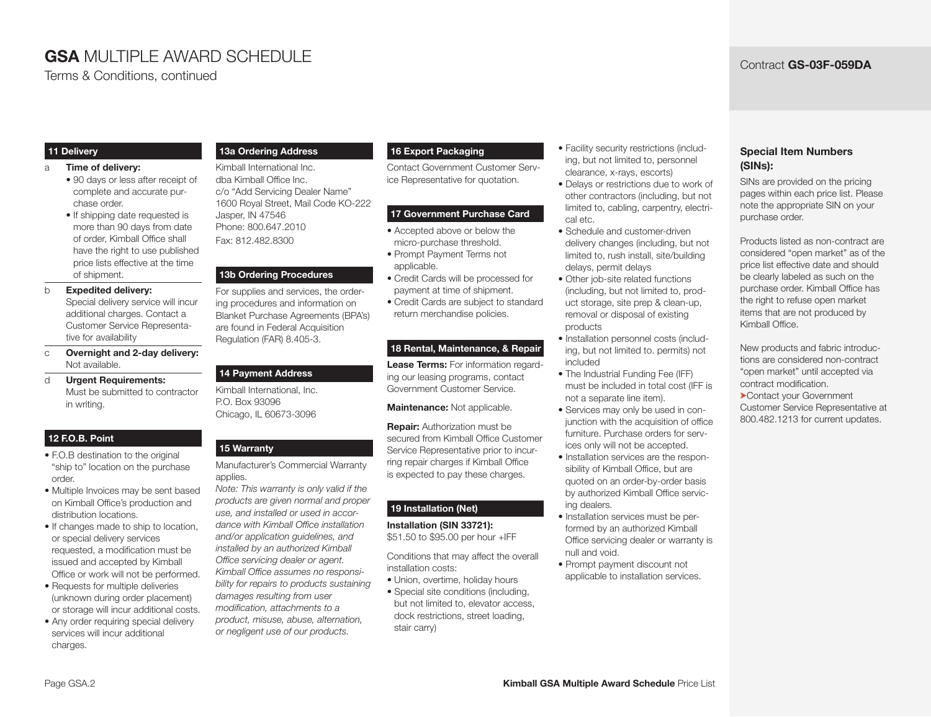Terms & Conditions, continued

### **11 Delivery**

### a **Time of delivery:**

- 90 days or less after receipt of complete and accurate purchase order.
- If shipping date requested is more than 90 days from date of order, Kimball Office shall have the right to use published price lists effective at the time of shipment.
- b **Expedited delivery:**  Special delivery service will incur additional charges. Contact a Customer Service Representative for availability
- c **Overnight and 2-day delivery:**  Not available.
- d **Urgent Requirements:**  Must be submitted to contractor in writing.

### **12 F.O.B. Point**

- F.O.B destination to the original "ship to" location on the purchase order.
- Multiple Invoices may be sent based on Kimball Office's production and distribution locations.
- If changes made to ship to location, or special delivery services requested, a modification must be issued and accepted by Kimball Office or work will not be performed.
- Requests for multiple deliveries (unknown during order placement) or storage will incur additional costs.
- Any order requiring special delivery services will incur additional charges.

### **13a Ordering Address**

Kimball International Inc. dba Kimball Office Inc. c/o "Add Servicing Dealer Name" 1600 Royal Street, Mail Code KO-222 Jasper, IN 47546 Phone: 800.647.2010 Fax: 812.482.8300

### **13b Ordering Procedures**

For supplies and services, the ordering procedures and information on Blanket Purchase Agreements (BPA's) are found in Federal Acquisition Regulation (FAR) 8.405-3.

### **14 Payment Address**

Kimball International, Inc. P.O. Box 93096 Chicago, IL 60673-3096

### **15 Warranty**

Manufacturer's Commercial Warranty applies.

*Note: This warranty is only valid if the products are given normal and proper use, and installed or used in accordance with Kimball Office installation and/or application guidelines, and installed by an authorized Kimball Office servicing dealer or agent. Kimball Office assumes no responsibility for repairs to products sustaining damages resulting from user modification, attachments to a product, misuse, abuse, alternation, or negligent use of our products.*

### **16 Export Packaging**

Contact Government Customer Service Representative for quotation.

### **17 Government Purchase Card**

- Accepted above or below the micro-purchase threshold.
- Prompt Payment Terms not applicable.
- Credit Cards will be processed for payment at time of shipment.
- Credit Cards are subject to standard return merchandise policies.

### **18 Rental, Maintenance, & Repair**

**Lease Terms:** For information regarding our leasing programs, contact Government Customer Service.

### **Maintenance:** Not applicable.

**Repair:** Authorization must be secured from Kimball Office Customer Service Representative prior to incurring repair charges if Kimball Office is expected to pay these charges.

### **19 Installation (Net)**

### **Installation (SIN 33721):**

\$51.50 to \$95.00 per hour +IFF

Conditions that may affect the overall installation costs:

- Union, overtime, holiday hours
- Special site conditions (including, but not limited to, elevator access, dock restrictions, street loading, stair carry)
- Facility security restrictions (including, but not limited to, personnel clearance, x-rays, escorts)
- Delays or restrictions due to work of other contractors (including, but not limited to, cabling, carpentry, electrical etc.
- Schedule and customer-driven delivery changes (including, but not limited to, rush install, site/building delays, permit delays
- Other job-site related functions (including, but not limited to, product storage, site prep & clean-up, removal or disposal of existing products
- Installation personnel costs (including, but not limited to. permits) not included
- The Industrial Funding Fee (IFF) must be included in total cost (IFF is not a separate line item).
- Services may only be used in conjunction with the acquisition of office furniture. Purchase orders for services only will not be accepted.
- Installation services are the responsibility of Kimball Office, but are quoted on an order-by-order basis by authorized Kimball Office servicing dealers.
- Installation services must be performed by an authorized Kimball Office servicing dealer or warranty is null and void.
- Prompt payment discount not applicable to installation services.

### **Special Item Numbers (SINs):**

SINs are provided on the pricing pages within each price list. Please note the appropriate SIN on your purchase order.

Products listed as non-contract are considered "open market" as of the price list effective date and should be clearly labeled as such on the purchase order. Kimball Office has the right to refuse open market items that are not produced by Kimball Office.

New products and fabric introductions are considered non-contract "open market" until accepted via contract modification.

➤Contact your Government Customer Service Representative at 800.482.1213 for current updates.

## Contract **GS-03F-059DA**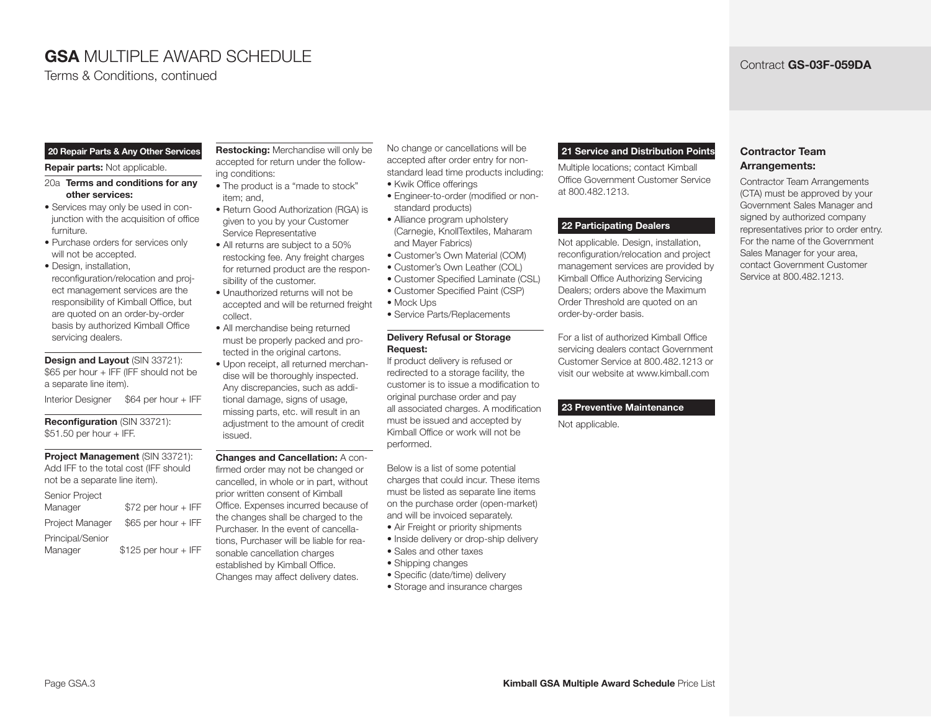### Contract **GS-03F-059DA**

# **GSA** MULTIPLE AWARD SCHEDULE

Terms & Conditions, continued

### **20 Repair Parts & Any Other Services**

### **Repair parts:** Not applicable.

- 20a **Terms and conditions for any other services:**
- Services may only be used in conjunction with the acquisition of office furniture.
- Purchase orders for services only will not be accepted.
- Design, installation, reconfiguration/relocation and project management services are the responsibility of Kimball Office, but are quoted on an order-by-order basis by authorized Kimball Office servicing dealers.

**Design and Layout** (SIN 33721): \$65 per hour + IFF (IFF should not be a separate line item).

Interior Designer \$64 per hour + IFF

**Reconfiguration** (SIN 33721):  $$51.50$  per hour + IFF.

**Project Management** (SIN 33721): Add IFF to the total cost (IFF should not be a separate line item).

| <b>Senior Project</b> |                       |
|-----------------------|-----------------------|
| Manager               | $$72$ per hour + IFF  |
| Project Manager       | $$65$ per hour + IFF  |
| Principal/Senior      |                       |
| Manager               | $$125$ per hour + IFF |

**Restocking:** Merchandise will only be accepted for return under the following conditions:

- The product is a "made to stock" item; and,
- Return Good Authorization (RGA) is given to you by your Customer Service Representative
- All returns are subject to a 50% restocking fee. Any freight charges for returned product are the responsibility of the customer.
- Unauthorized returns will not be accepted and will be returned freight collect.
- All merchandise being returned must be properly packed and protected in the original cartons.
- Upon receipt, all returned merchandise will be thoroughly inspected. Any discrepancies, such as additional damage, signs of usage, missing parts, etc. will result in an adjustment to the amount of credit issued.

### **Changes and Cancellation:** A con-

firmed order may not be changed or cancelled, in whole or in part, without prior written consent of Kimball Office. Expenses incurred because of the changes shall be charged to the Purchaser. In the event of cancellations, Purchaser will be liable for reasonable cancellation charges established by Kimball Office. Changes may affect delivery dates.

No change or cancellations will be accepted after order entry for nonstandard lead time products including:

- Kwik Office offerings
- Engineer-to-order (modified or nonstandard products)
- Alliance program upholstery (Carnegie, KnollTextiles, Maharam and Mayer Fabrics)
- Customer's Own Material (COM)
- Customer's Own Leather (COL)
- Customer Specified Laminate (CSL)
- Customer Specified Paint (CSP)
- Mock Ups
- Service Parts/Replacements

### **Delivery Refusal or Storage Request:**

If product delivery is refused or redirected to a storage facility, the customer is to issue a modification to original purchase order and pay all associated charges. A modification must be issued and accepted by Kimball Office or work will not be performed.

Below is a list of some potential charges that could incur. These items must be listed as separate line items on the purchase order (open-market) and will be invoiced separately.

- Air Freight or priority shipments
- Inside delivery or drop-ship delivery
- Sales and other taxes
- Shipping changes
- Specific (date/time) delivery
- Storage and insurance charges

### **21 Service and Distribution Points**

Multiple locations; contact Kimball Office Government Customer Service at 800.482.1213.

### **22 Participating Dealers**

Not applicable. Design, installation, reconfiguration/relocation and project management services are provided by Kimball Office Authorizing Servicing Dealers; orders above the Maximum Order Threshold are quoted on an order-by-order basis.

For a list of authorized Kimball Office servicing dealers contact Government Customer Service at 800.482.1213 or visit our website at www.kimball.com

### **23 Preventive Maintenance**

Not applicable.

### **Contractor Team Arrangements:**

Contractor Team Arrangements (CTA) must be approved by your Government Sales Manager and signed by authorized company representatives prior to order entry. For the name of the Government Sales Manager for your area, contact Government Customer Service at 800.482.1213.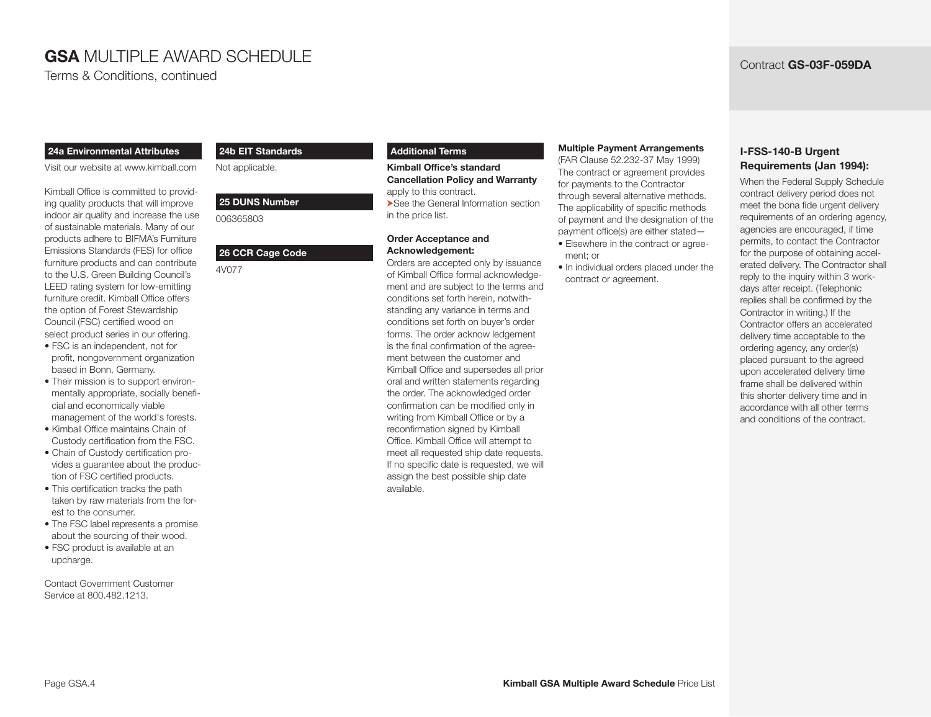Terms & Conditions, continued

### **24a Environmental Attributes**

Visit our website at www.kimball.com

Kimball Office is committed to providing quality products that will improve indoor air quality and increase the use of sustainable materials. Many of our products adhere to BIFMA's Furniture Emissions Standards (FES) for office furniture products and can contribute to the U.S. Green Building Council's LEED rating system for low-emitting furniture credit. Kimball Office offers the option of Forest Stewardship Council (FSC) certified wood on select product series in our offering.

- FSC is an independent, not for profit, nongovernment organization based in Bonn, Germany.
- Their mission is to support environmentally appropriate, socially beneficial and economically viable management of the world's forests.
- Kimball Office maintains Chain of Custody certification from the FSC.
- Chain of Custody certification provides a guarantee about the production of FSC certified products.
- This certification tracks the path taken by raw materials from the forest to the consumer.
- The FSC label represents a promise about the sourcing of their wood.
- FSC product is available at an upcharge.

Contact Government Customer Service at 800.482.1213.

### **24b EIT Standards**

Not applicable.

### **25 DUNS Number**

006365803

### **26 CCR Cage Code**

4V077

### **Additional Terms**

**Kimball Office's standard Cancellation Policy and Warranty** apply to this contract. ➤See the General Information section in the price list.

### **Order Acceptance and Acknowledgement:**

Orders are accepted only by issuance of Kimball Office formal acknowledgement and are subject to the terms and conditions set forth herein, notwithstanding any variance in terms and conditions set forth on buyer's order forms. The order acknow ledgement is the final confirmation of the agreement between the customer and Kimball Office and supersedes all prior oral and written statements regarding the order. The acknowledged order confirmation can be modified only in writing from Kimball Office or by a reconfirmation signed by Kimball Office. Kimball Office will attempt to meet all requested ship date requests. If no specific date is requested, we will assign the best possible ship date available.

### **Multiple Payment Arrangements**

(FAR Clause 52.232-37 May 1999) The contract or agreement provides for payments to the Contractor through several alternative methods. The applicability of specific methods of payment and the designation of the payment office(s) are either stated—

- Elsewhere in the contract or agreement; or
- In individual orders placed under the contract or agreement.

### **I-FSS-140-B Urgent Requirements (Jan 1994):**

When the Federal Supply Schedule contract delivery period does not meet the bona fide urgent delivery requirements of an ordering agency, agencies are encouraged, if time permits, to contact the Contractor for the purpose of obtaining accelerated delivery. The Contractor shall reply to the inquiry within 3 workdays after receipt. (Telephonic replies shall be confirmed by the Contractor in writing.) If the Contractor offers an accelerated delivery time acceptable to the ordering agency, any order(s) placed pursuant to the agreed upon accelerated delivery time frame shall be delivered within this shorter delivery time and in accordance with all other terms and conditions of the contract.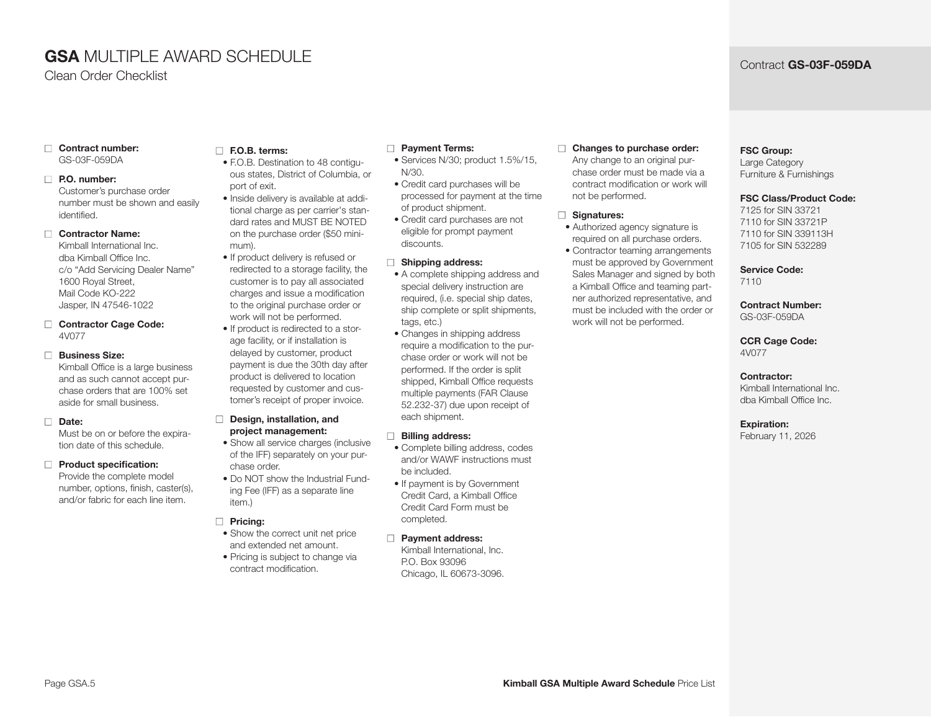Clean Order Checklist

### ■ **Contract number:**  GS-03F-059DA

### ■ **P.O. number:**

Customer's purchase order number must be shown and easily identified.

### ■ **Contractor Name:**

Kimball International Inc. dba Kimball Office Inc. c/o "Add Servicing Dealer Name" 1600 Royal Street, Mail Code KO-222 Jasper, IN 47546-1022

### ■ **Contractor Cage Code:**  4V077

### ■ **Business Size:**

Kimball Office is a large business and as such cannot accept purchase orders that are 100% set aside for small business.

### ■ **Date:**

Must be on or before the expiration date of this schedule.

### ■ **Product specification:**

Provide the complete model number, options, finish, caster(s), and/or fabric for each line item.

### ■ **F.O.B. terms:**

- F.O.B. Destination to 48 contiguous states, District of Columbia, or port of exit.
- Inside delivery is available at additional charge as per carrier's standard rates and MUST BE NOTED on the purchase order (\$50 minimum).
- If product delivery is refused or redirected to a storage facility, the customer is to pay all associated charges and issue a modification to the original purchase order or work will not be performed.
- If product is redirected to a storage facility, or if installation is delayed by customer, product payment is due the 30th day after product is delivered to location requested by customer and customer's receipt of proper invoice.

### ■ **Design, installation, and project management:**

- Show all service charges (inclusive of the IFF) separately on your purchase order.
- Do NOT show the Industrial Funding Fee (IFF) as a separate line item.)

### ■ **Pricing:**

- Show the correct unit net price and extended net amount.
- Pricing is subject to change via contract modification.

### ■ **Payment Terms:**

- Services N/30; product 1.5%/15, N/30.
- Credit card purchases will be processed for payment at the time of product shipment.
- Credit card purchases are not eligible for prompt payment discounts.

### ■ **Shipping address:**

- A complete shipping address and special delivery instruction are required, (i.e. special ship dates, ship complete or split shipments, tags, etc.)
- Changes in shipping address require a modification to the purchase order or work will not be performed. If the order is split shipped, Kimball Office requests multiple payments (FAR Clause 52.232-37) due upon receipt of each shipment.

### ■ **Billing address:**

- Complete billing address, codes and/or WAWF instructions must be included.
- If payment is by Government Credit Card, a Kimball Office Credit Card Form must be completed.

### ■ **Payment address:**

Kimball International, Inc. P.O. Box 93096 Chicago, IL 60673-3096.

### □ Changes to purchase order:

Any change to an original purchase order must be made via a contract modification or work will not be performed.

### ■ **Signatures:**

- Authorized agency signature is required on all purchase orders.
- Contractor teaming arrangements must be approved by Government Sales Manager and signed by both a Kimball Office and teaming partner authorized representative, and must be included with the order or work will not be performed.

**CCR Cage Code:** 4V077

**Contract Number:** GS-03F-059DA

### **Contractor:**

Kimball International Inc. dba Kimball Office Inc.

### **Expiration:**

February 11, 2026

## **FSC Group:**

Large Category Furniture & Furnishings

### **FSC Class/Product Code:**

7125 for SIN 33721 7110 for SIN 33721P 7110 for SIN 339113H 7105 for SIN 532289

### **Service Code:**

7110

## Contract **GS-03F-059DA**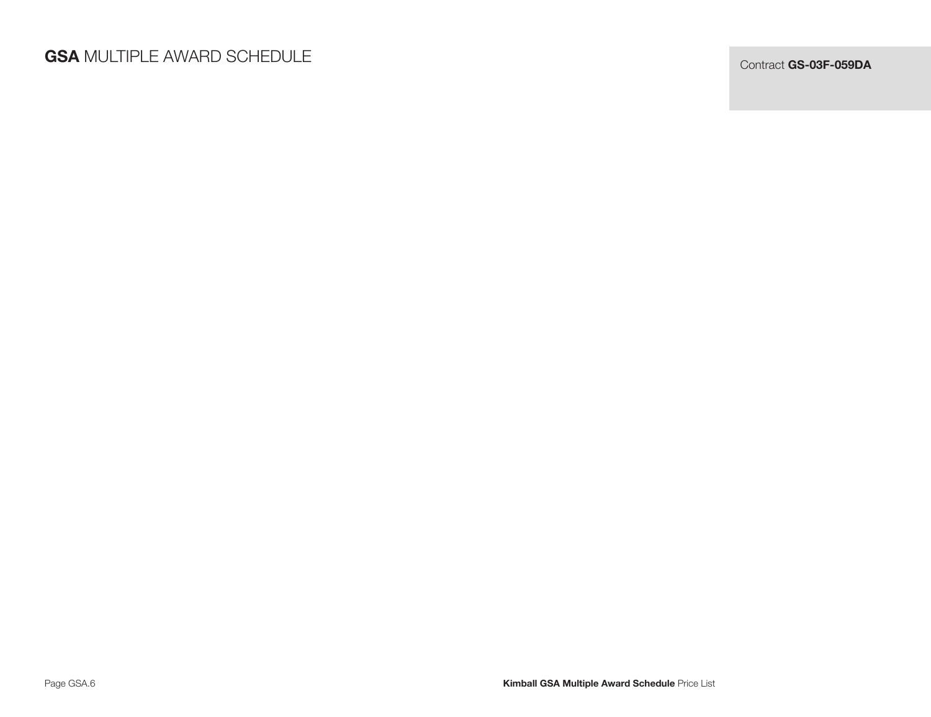Contract **GS-03F-059DA**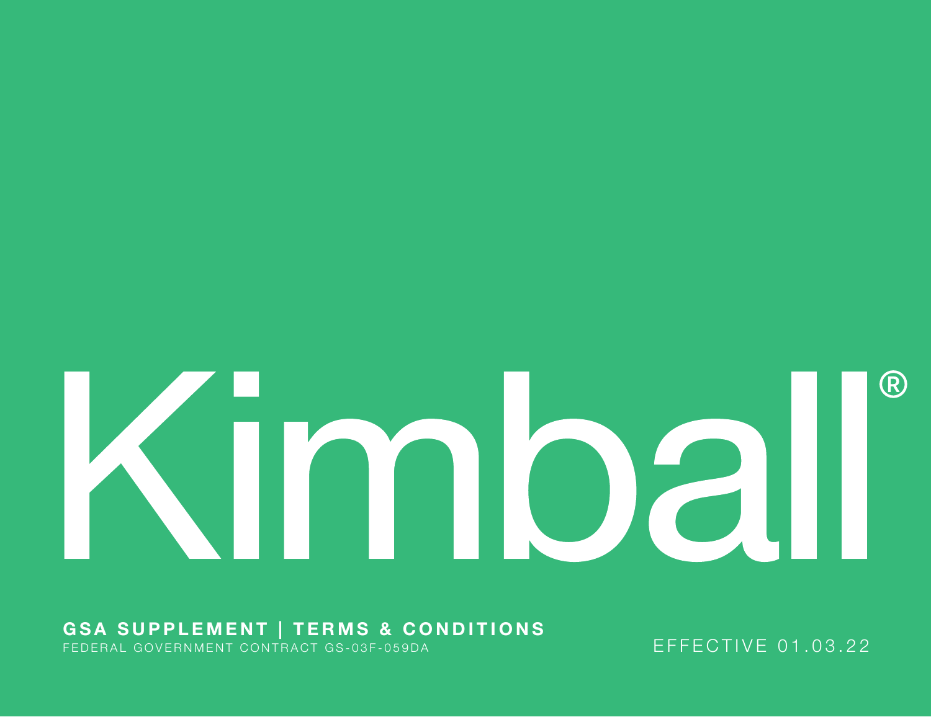# (R) Kimballi

# **GSA SUPPLEMENT | TERMS & CONDITIONS**

FEDERAL GOVERNMENT CONTRACT GS-03F-059DA EXECTIVE O1.03.22